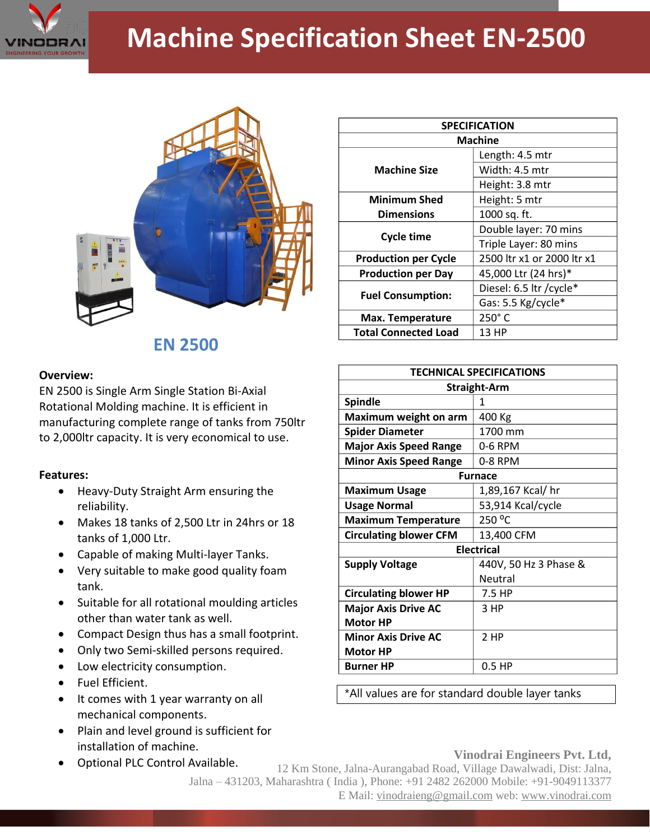

# **Machine Specification Sheet EN-2500**



## **EN 2500**

#### **Overview:**

EN 2500 is Single Arm Single Station Bi-Axial Rotational Molding machine. It is efficient in manufacturing complete range of tanks from 750ltr to 2,000ltr capacity. It is very economical to use.

### **Features:**

- Heavy-Duty Straight Arm ensuring the reliability.
- Makes 18 tanks of 2,500 Ltr in 24hrs or 18 tanks of 1,000 Ltr.
- Capable of making Multi-layer Tanks.
- Very suitable to make good quality foam tank.
- Suitable for all rotational moulding articles other than water tank as well.
- Compact Design thus has a small footprint.
- Only two Semi-skilled persons required.
- Low electricity consumption.
- Fuel Efficient.
- It comes with 1 year warranty on all mechanical components.
- Plain and level ground is sufficient for installation of machine.
- Optional PLC Control Available.

| <b>SPECIFICATION</b>        |                            |
|-----------------------------|----------------------------|
| <b>Machine</b>              |                            |
| <b>Machine Size</b>         | Length: 4.5 mtr            |
|                             | Width: 4.5 mtr             |
|                             | Height: 3.8 mtr            |
| <b>Minimum Shed</b>         | Height: 5 mtr              |
| <b>Dimensions</b>           | 1000 sq. ft.               |
| <b>Cycle time</b>           | Double layer: 70 mins      |
|                             | Triple Layer: 80 mins      |
| <b>Production per Cycle</b> | 2500 ltr x1 or 2000 ltr x1 |
| <b>Production per Day</b>   | 45,000 Ltr (24 hrs)*       |
| <b>Fuel Consumption:</b>    | Diesel: 6.5 ltr / cycle*   |
|                             | Gas: 5.5 Kg/cycle*         |
| <b>Max. Temperature</b>     | $250^\circ$ C              |
| <b>Total Connected Load</b> | 13 HP                      |

| <b>TECHNICAL SPECIFICATIONS</b> |                       |
|---------------------------------|-----------------------|
| <b>Straight-Arm</b>             |                       |
| <b>Spindle</b>                  | 1                     |
| Maximum weight on arm           | 400 Kg                |
| <b>Spider Diameter</b>          | 1700 mm               |
| <b>Major Axis Speed Range</b>   | 0-6 RPM               |
| <b>Minor Axis Speed Range</b>   | 0-8 RPM               |
| <b>Furnace</b>                  |                       |
| <b>Maximum Usage</b>            | 1,89,167 Kcal/ hr     |
| <b>Usage Normal</b>             | 53,914 Kcal/cycle     |
| <b>Maximum Temperature</b>      | 250 °C                |
| <b>Circulating blower CFM</b>   | 13,400 CFM            |
| <b>Electrical</b>               |                       |
| <b>Supply Voltage</b>           | 440V, 50 Hz 3 Phase & |
|                                 | Neutral               |
| <b>Circulating blower HP</b>    | 7.5 HP                |
| <b>Major Axis Drive AC</b>      | 3 HP                  |
| <b>Motor HP</b>                 |                       |
| <b>Minor Axis Drive AC</b>      | 2 HP                  |
| <b>Motor HP</b>                 |                       |
| <b>Burner HP</b>                | $0.5$ HP              |

\*All values are for standard double layer tanks

#### **Vinodrai Engineers Pvt. Ltd,**

12 Km Stone, Jalna-Aurangabad Road, Village Dawalwadi, Dist: Jalna, Jalna – 431203, Maharashtra ( India ), Phone: +91 2482 262000 Mobile: +91-9049113377 E Mail: vinodraieng@gmail.com web: www.vinodrai.com